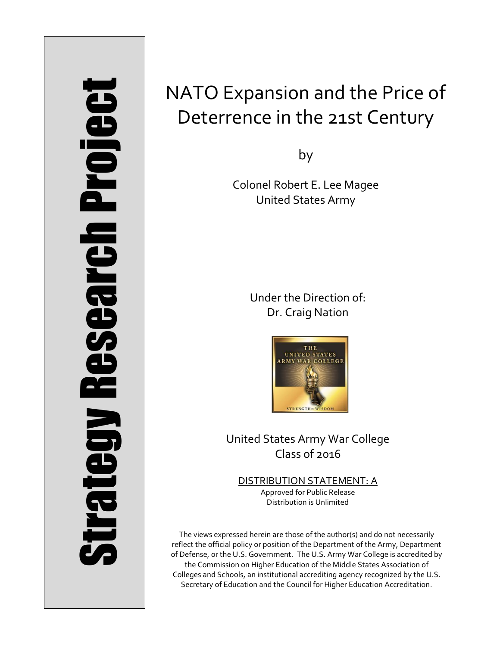# Strategy Research Project **Strategy Research Project**

# NATO Expansion and the Price of Deterrence in the 21st Century

by

Colonel Robert E. Lee Magee United States Army

> Under the Direction of: Dr. Craig Nation



United States Army War College Class of 2016

DISTRIBUTION STATEMENT: A Approved for Public Release Distribution is Unlimited

The views expressed herein are those of the author(s) and do not necessarily reflect the official policy or position of the Department of the Army, Department of Defense, or the U.S. Government. The U.S. Army War College is accredited by the Commission on Higher Education of the Middle States Association of Colleges and Schools, an institutional accrediting agency recognized by the U.S. Secretary of Education and the Council for Higher Education Accreditation.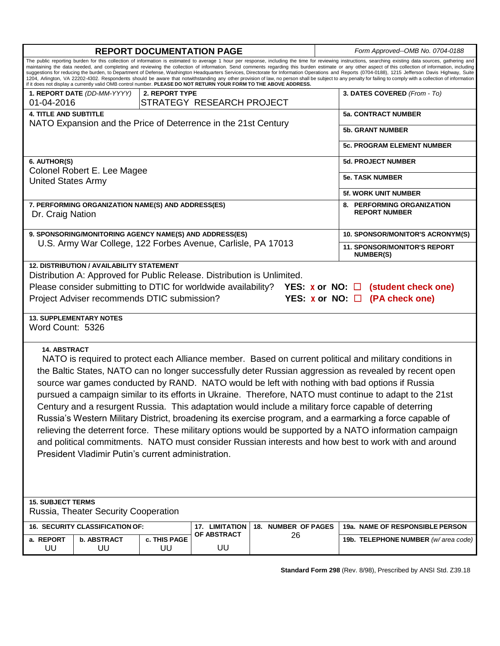| <b>REPORT DOCUMENTATION PAGE</b>                                                                                                                                                                                                                                                                                                                                                                                                                                                                                                                                                                                                                                                                                                                                                                                                                                                                                                                                  |                |                                                    |                     |                              | Form Approved--OMB No. 0704-0188                 |  |  |
|-------------------------------------------------------------------------------------------------------------------------------------------------------------------------------------------------------------------------------------------------------------------------------------------------------------------------------------------------------------------------------------------------------------------------------------------------------------------------------------------------------------------------------------------------------------------------------------------------------------------------------------------------------------------------------------------------------------------------------------------------------------------------------------------------------------------------------------------------------------------------------------------------------------------------------------------------------------------|----------------|----------------------------------------------------|---------------------|------------------------------|--------------------------------------------------|--|--|
| The public reporting burden for this collection of information is estimated to average 1 hour per response, including the time for reviewing instructions, searching existing data sources, gathering and<br>maintaining the data needed, and completing and reviewing the collection of information. Send comments regarding this burden estimate or any other aspect of this collection of information, including<br>suggestions for reducing the burden, to Department of Defense, Washington Headquarters Services, Directorate for Information Operations and Reports (0704-0188), 1215 Jefferson Davis Highway, Suite<br>1204, Arlington, VA 22202-4302. Respondents should be aware that notwithstanding any other provision of law, no person shall be subject to any penalty for failing to comply with a collection of information<br>if it does not display a currently valid OMB control number. PLEASE DO NOT RETURN YOUR FORM TO THE ABOVE ADDRESS. |                |                                                    |                     |                              |                                                  |  |  |
| 1. REPORT DATE (DD-MM-YYYY)<br>01-04-2016                                                                                                                                                                                                                                                                                                                                                                                                                                                                                                                                                                                                                                                                                                                                                                                                                                                                                                                         | 2. REPORT TYPE | STRATEGY RESEARCH PROJECT                          |                     | 3. DATES COVERED (From - To) |                                                  |  |  |
| <b>4. TITLE AND SUBTITLE</b>                                                                                                                                                                                                                                                                                                                                                                                                                                                                                                                                                                                                                                                                                                                                                                                                                                                                                                                                      |                | <b>5a. CONTRACT NUMBER</b>                         |                     |                              |                                                  |  |  |
| NATO Expansion and the Price of Deterrence in the 21st Century                                                                                                                                                                                                                                                                                                                                                                                                                                                                                                                                                                                                                                                                                                                                                                                                                                                                                                    |                |                                                    |                     |                              |                                                  |  |  |
|                                                                                                                                                                                                                                                                                                                                                                                                                                                                                                                                                                                                                                                                                                                                                                                                                                                                                                                                                                   |                |                                                    |                     |                              | <b>5b. GRANT NUMBER</b>                          |  |  |
|                                                                                                                                                                                                                                                                                                                                                                                                                                                                                                                                                                                                                                                                                                                                                                                                                                                                                                                                                                   |                | <b>5c. PROGRAM ELEMENT NUMBER</b>                  |                     |                              |                                                  |  |  |
| 6. AUTHOR(S)                                                                                                                                                                                                                                                                                                                                                                                                                                                                                                                                                                                                                                                                                                                                                                                                                                                                                                                                                      |                |                                                    |                     |                              | <b>5d. PROJECT NUMBER</b>                        |  |  |
| Colonel Robert E. Lee Magee<br><b>United States Army</b>                                                                                                                                                                                                                                                                                                                                                                                                                                                                                                                                                                                                                                                                                                                                                                                                                                                                                                          |                |                                                    |                     |                              | <b>5e. TASK NUMBER</b>                           |  |  |
|                                                                                                                                                                                                                                                                                                                                                                                                                                                                                                                                                                                                                                                                                                                                                                                                                                                                                                                                                                   |                | <b>5f. WORK UNIT NUMBER</b>                        |                     |                              |                                                  |  |  |
| 7. PERFORMING ORGANIZATION NAME(S) AND ADDRESS(ES)<br>Dr. Craig Nation                                                                                                                                                                                                                                                                                                                                                                                                                                                                                                                                                                                                                                                                                                                                                                                                                                                                                            |                | 8. PERFORMING ORGANIZATION<br><b>REPORT NUMBER</b> |                     |                              |                                                  |  |  |
| 9. SPONSORING/MONITORING AGENCY NAME(S) AND ADDRESS(ES)                                                                                                                                                                                                                                                                                                                                                                                                                                                                                                                                                                                                                                                                                                                                                                                                                                                                                                           |                | 10. SPONSOR/MONITOR'S ACRONYM(S)                   |                     |                              |                                                  |  |  |
| U.S. Army War College, 122 Forbes Avenue, Carlisle, PA 17013                                                                                                                                                                                                                                                                                                                                                                                                                                                                                                                                                                                                                                                                                                                                                                                                                                                                                                      |                |                                                    |                     |                              | 11. SPONSOR/MONITOR'S REPORT<br><b>NUMBER(S)</b> |  |  |
| <b>12. DISTRIBUTION / AVAILABILITY STATEMENT</b><br>Distribution A: Approved for Public Release. Distribution is Unlimited.<br>Please consider submitting to DTIC for worldwide availability? YES: $x$ or NO: $\Box$ (student check one)<br>Project Adviser recommends DTIC submission?<br>YES: $x$ or NO: $\Box$ (PA check one)                                                                                                                                                                                                                                                                                                                                                                                                                                                                                                                                                                                                                                  |                |                                                    |                     |                              |                                                  |  |  |
| <b>13. SUPPLEMENTARY NOTES</b><br>Word Count: 5326                                                                                                                                                                                                                                                                                                                                                                                                                                                                                                                                                                                                                                                                                                                                                                                                                                                                                                                |                |                                                    |                     |                              |                                                  |  |  |
| <b>14. ABSTRACT</b><br>NATO is required to protect each Alliance member. Based on current political and military conditions in<br>the Baltic States, NATO can no longer successfully deter Russian aggression as revealed by recent open<br>source war games conducted by RAND. NATO would be left with nothing with bad options if Russia<br>pursued a campaign similar to its efforts in Ukraine. Therefore, NATO must continue to adapt to the 21st<br>Century and a resurgent Russia. This adaptation would include a military force capable of deterring<br>Russia's Western Military District, broadening its exercise program, and a earmarking a force capable of<br>relieving the deterrent force. These military options would be supported by a NATO information campaign<br>and political commitments. NATO must consider Russian interests and how best to work with and around<br>President Vladimir Putin's current administration.                |                |                                                    |                     |                              |                                                  |  |  |
| <b>15. SUBJECT TERMS</b><br>Russia, Theater Security Cooperation                                                                                                                                                                                                                                                                                                                                                                                                                                                                                                                                                                                                                                                                                                                                                                                                                                                                                                  |                |                                                    |                     |                              |                                                  |  |  |
| 16. SECURITY CLASSIFICATION OF:                                                                                                                                                                                                                                                                                                                                                                                                                                                                                                                                                                                                                                                                                                                                                                                                                                                                                                                                   |                | 17. LIMITATION                                     | 18. NUMBER OF PAGES |                              | 19a. NAME OF RESPONSIBLE PERSON                  |  |  |
| a. REPORT<br><b>b. ABSTRACT</b><br>UU<br>UU                                                                                                                                                                                                                                                                                                                                                                                                                                                                                                                                                                                                                                                                                                                                                                                                                                                                                                                       | c. THIS PAGE   | OF ABSTRACT                                        | 26<br>UU            |                              | 19b. TELEPHONE NUMBER (w/area code)              |  |  |

**Standard Form 298** (Rev. 8/98), Prescribed by ANSI Std. Z39.18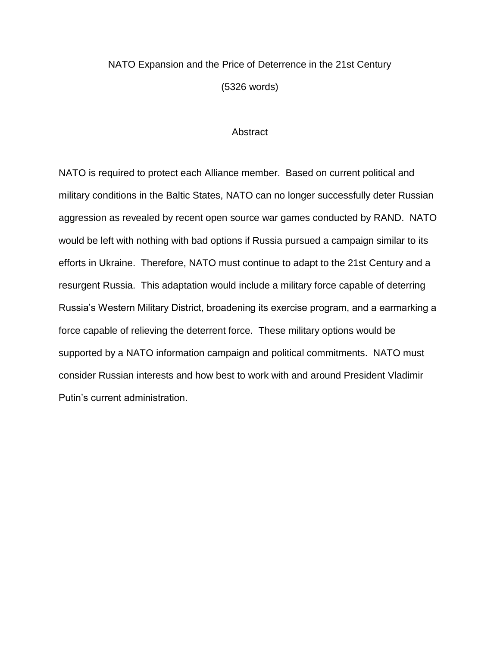## NATO Expansion and the Price of Deterrence in the 21st Century (5326 words)

### **Abstract**

NATO is required to protect each Alliance member. Based on current political and military conditions in the Baltic States, NATO can no longer successfully deter Russian aggression as revealed by recent open source war games conducted by RAND. NATO would be left with nothing with bad options if Russia pursued a campaign similar to its efforts in Ukraine. Therefore, NATO must continue to adapt to the 21st Century and a resurgent Russia. This adaptation would include a military force capable of deterring Russia's Western Military District, broadening its exercise program, and a earmarking a force capable of relieving the deterrent force. These military options would be supported by a NATO information campaign and political commitments. NATO must consider Russian interests and how best to work with and around President Vladimir Putin's current administration.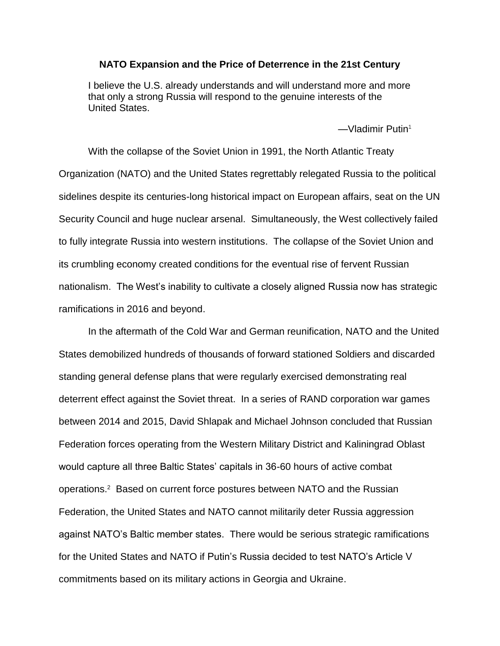### **NATO Expansion and the Price of Deterrence in the 21st Century**

[I believe the U.S. already understands and will understand more and more](http://www.brainyquote.com/quotes/quotes/v/vladimirpu452534.html?src=t_russia)  [that only a strong Russia will respond to the genuine interests of the](http://www.brainyquote.com/quotes/quotes/v/vladimirpu452534.html?src=t_russia)  [United States.](http://www.brainyquote.com/quotes/quotes/v/vladimirpu452534.html?src=t_russia)

 $-M$ ladimir Putin<sup>1</sup>

With the collapse of the Soviet Union in 1991, the North Atlantic Treaty Organization (NATO) and the United States regrettably relegated Russia to the political sidelines despite its centuries-long historical impact on European affairs, seat on the UN Security Council and huge nuclear arsenal. Simultaneously, the West collectively failed to fully integrate Russia into western institutions. The collapse of the Soviet Union and its crumbling economy created conditions for the eventual rise of fervent Russian nationalism. The West's inability to cultivate a closely aligned Russia now has strategic ramifications in 2016 and beyond.

In the aftermath of the Cold War and German reunification, NATO and the United States demobilized hundreds of thousands of forward stationed Soldiers and discarded standing general defense plans that were regularly exercised demonstrating real deterrent effect against the Soviet threat. In a series of RAND corporation war games between 2014 and 2015, David Shlapak and Michael Johnson concluded that Russian Federation forces operating from the Western Military District and Kaliningrad Oblast would capture all three Baltic States' capitals in 36-60 hours of active combat operations.<sup>2</sup> Based on current force postures between NATO and the Russian Federation, the United States and NATO cannot militarily deter Russia aggression against NATO's Baltic member states. There would be serious strategic ramifications for the United States and NATO if Putin's Russia decided to test NATO's Article V commitments based on its military actions in Georgia and Ukraine.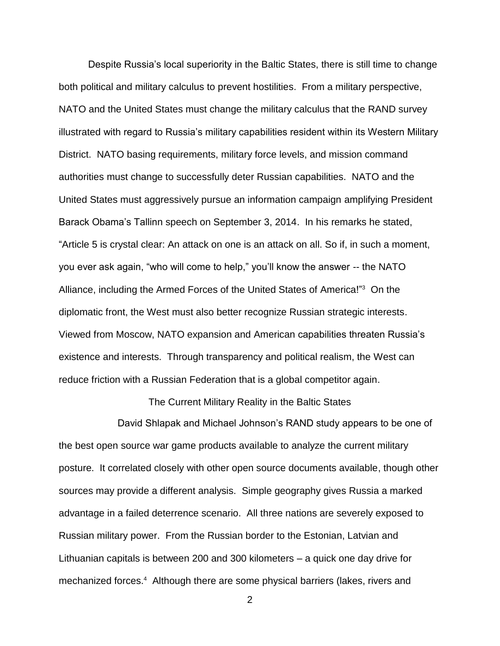Despite Russia's local superiority in the Baltic States, there is still time to change both political and military calculus to prevent hostilities. From a military perspective, NATO and the United States must change the military calculus that the RAND survey illustrated with regard to Russia's military capabilities resident within its Western Military District. NATO basing requirements, military force levels, and mission command authorities must change to successfully deter Russian capabilities. NATO and the United States must aggressively pursue an information campaign amplifying President Barack Obama's Tallinn speech on September 3, 2014. In his remarks he stated, "Article 5 is crystal clear: An attack on one is an attack on all. So if, in such a moment, you ever ask again, "who will come to help," you'll know the answer -- the NATO Alliance, including the Armed Forces of the United States of America!"<sup>3</sup> On the diplomatic front, the West must also better recognize Russian strategic interests. Viewed from Moscow, NATO expansion and American capabilities threaten Russia's existence and interests. Through transparency and political realism, the West can reduce friction with a Russian Federation that is a global competitor again.

### The Current Military Reality in the Baltic States

David Shlapak and Michael Johnson's RAND study appears to be one of the best open source war game products available to analyze the current military posture. It correlated closely with other open source documents available, though other sources may provide a different analysis. Simple geography gives Russia a marked advantage in a failed deterrence scenario. All three nations are severely exposed to Russian military power. From the Russian border to the Estonian, Latvian and Lithuanian capitals is between 200 and 300 kilometers – a quick one day drive for mechanized forces.<sup>4</sup> Although there are some physical barriers (lakes, rivers and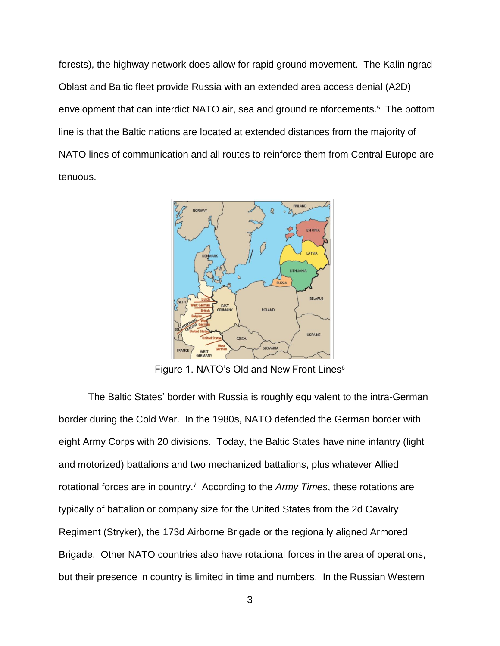forests), the highway network does allow for rapid ground movement. The Kaliningrad Oblast and Baltic fleet provide Russia with an extended area access denial (A2D) envelopment that can interdict NATO air, sea and ground reinforcements.<sup>5</sup> The bottom line is that the Baltic nations are located at extended distances from the majority of NATO lines of communication and all routes to reinforce them from Central Europe are tenuous.



Figure 1. NATO's Old and New Front Lines<sup>6</sup>

The Baltic States' border with Russia is roughly equivalent to the intra-German border during the Cold War. In the 1980s, NATO defended the German border with eight Army Corps with 20 divisions. Today, the Baltic States have nine infantry (light and motorized) battalions and two mechanized battalions, plus whatever Allied rotational forces are in country.<sup>7</sup> According to the Army Times, these rotations are typically of battalion or company size for the United States from the 2d Cavalry Regiment (Stryker), the 173d Airborne Brigade or the regionally aligned Armored Brigade. Other NATO countries also have rotational forces in the area of operations, but their presence in country is limited in time and numbers. In the Russian Western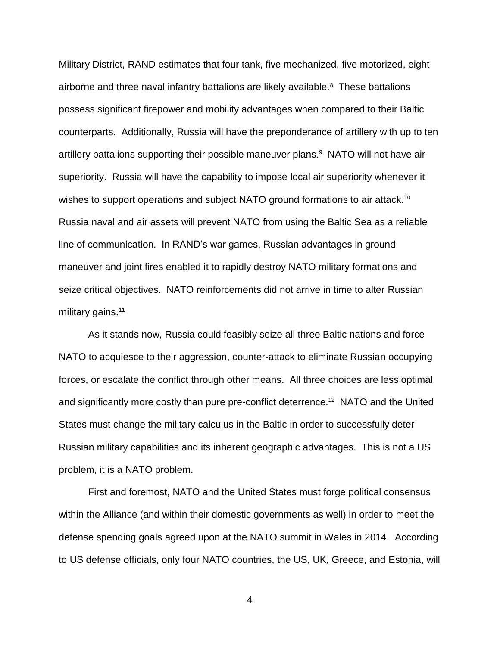Military District, RAND estimates that four tank, five mechanized, five motorized, eight airborne and three naval infantry battalions are likely available.<sup>8</sup> These battalions possess significant firepower and mobility advantages when compared to their Baltic counterparts. Additionally, Russia will have the preponderance of artillery with up to ten artillery battalions supporting their possible maneuver plans.<sup>9</sup> NATO will not have air superiority. Russia will have the capability to impose local air superiority whenever it wishes to support operations and subject NATO ground formations to air attack.<sup>10</sup> Russia naval and air assets will prevent NATO from using the Baltic Sea as a reliable line of communication. In RAND's war games, Russian advantages in ground maneuver and joint fires enabled it to rapidly destroy NATO military formations and seize critical objectives. NATO reinforcements did not arrive in time to alter Russian military gains.<sup>11</sup>

As it stands now, Russia could feasibly seize all three Baltic nations and force NATO to acquiesce to their aggression, counter-attack to eliminate Russian occupying forces, or escalate the conflict through other means. All three choices are less optimal and significantly more costly than pure pre-conflict deterrence.<sup>12</sup> NATO and the United States must change the military calculus in the Baltic in order to successfully deter Russian military capabilities and its inherent geographic advantages. This is not a US problem, it is a NATO problem.

First and foremost, NATO and the United States must forge political consensus within the Alliance (and within their domestic governments as well) in order to meet the defense spending goals agreed upon at the NATO summit in Wales in 2014. According to US defense officials, only four NATO countries, the US, UK, Greece, and Estonia, will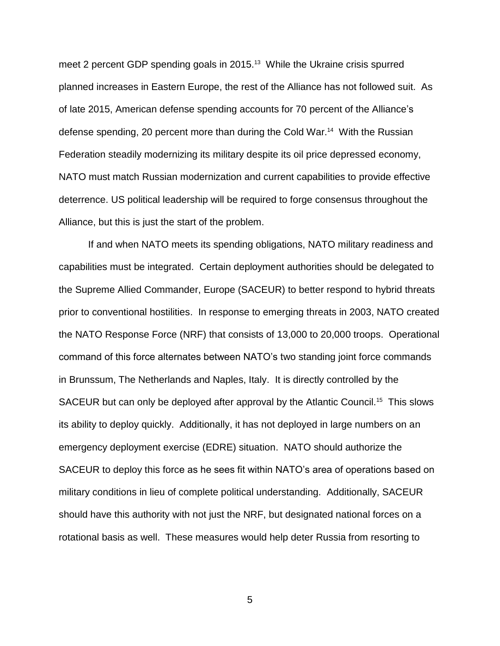meet 2 percent GDP spending goals in 2015.<sup>13</sup> While the Ukraine crisis spurred planned increases in Eastern Europe, the rest of the Alliance has not followed suit. As of late 2015, American defense spending accounts for 70 percent of the Alliance's defense spending, 20 percent more than during the Cold War.<sup>14</sup> With the Russian Federation steadily modernizing its military despite its oil price depressed economy, NATO must match Russian modernization and current capabilities to provide effective deterrence. US political leadership will be required to forge consensus throughout the Alliance, but this is just the start of the problem.

If and when NATO meets its spending obligations, NATO military readiness and capabilities must be integrated. Certain deployment authorities should be delegated to the Supreme Allied Commander, Europe (SACEUR) to better respond to hybrid threats prior to conventional hostilities. In response to emerging threats in 2003, NATO created the NATO Response Force (NRF) that consists of 13,000 to 20,000 troops. Operational command of this force alternates between NATO's two standing joint force commands in Brunssum, The Netherlands and Naples, Italy. It is directly controlled by the SACEUR but can only be deployed after approval by the Atlantic Council.<sup>15</sup> This slows its ability to deploy quickly. Additionally, it has not deployed in large numbers on an emergency deployment exercise (EDRE) situation. NATO should authorize the SACEUR to deploy this force as he sees fit within NATO's area of operations based on military conditions in lieu of complete political understanding. Additionally, SACEUR should have this authority with not just the NRF, but designated national forces on a rotational basis as well. These measures would help deter Russia from resorting to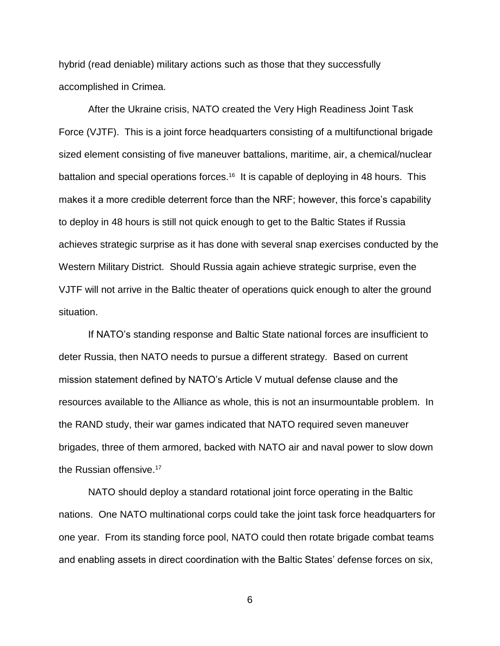hybrid (read deniable) military actions such as those that they successfully accomplished in Crimea.

After the Ukraine crisis, NATO created the Very High Readiness Joint Task Force (VJTF). This is a joint force headquarters consisting of a multifunctional brigade sized element consisting of five maneuver battalions, maritime, air, a chemical/nuclear battalion and special operations forces.<sup>16</sup> It is capable of deploying in 48 hours. This makes it a more credible deterrent force than the NRF; however, this force's capability to deploy in 48 hours is still not quick enough to get to the Baltic States if Russia achieves strategic surprise as it has done with several snap exercises conducted by the Western Military District. Should Russia again achieve strategic surprise, even the VJTF will not arrive in the Baltic theater of operations quick enough to alter the ground situation.

If NATO's standing response and Baltic State national forces are insufficient to deter Russia, then NATO needs to pursue a different strategy. Based on current mission statement defined by NATO's Article V mutual defense clause and the resources available to the Alliance as whole, this is not an insurmountable problem. In the RAND study, their war games indicated that NATO required seven maneuver brigades, three of them armored, backed with NATO air and naval power to slow down the Russian offensive. 17

NATO should deploy a standard rotational joint force operating in the Baltic nations. One NATO multinational corps could take the joint task force headquarters for one year. From its standing force pool, NATO could then rotate brigade combat teams and enabling assets in direct coordination with the Baltic States' defense forces on six,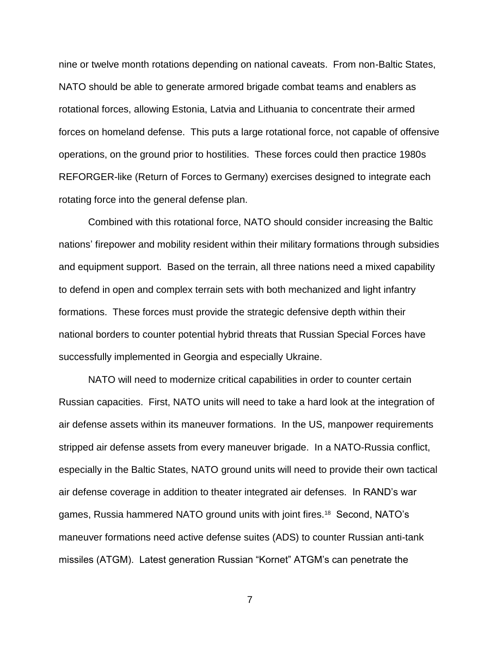nine or twelve month rotations depending on national caveats. From non-Baltic States, NATO should be able to generate armored brigade combat teams and enablers as rotational forces, allowing Estonia, Latvia and Lithuania to concentrate their armed forces on homeland defense. This puts a large rotational force, not capable of offensive operations, on the ground prior to hostilities. These forces could then practice 1980s REFORGER-like (Return of Forces to Germany) exercises designed to integrate each rotating force into the general defense plan.

Combined with this rotational force, NATO should consider increasing the Baltic nations' firepower and mobility resident within their military formations through subsidies and equipment support. Based on the terrain, all three nations need a mixed capability to defend in open and complex terrain sets with both mechanized and light infantry formations. These forces must provide the strategic defensive depth within their national borders to counter potential hybrid threats that Russian Special Forces have successfully implemented in Georgia and especially Ukraine.

NATO will need to modernize critical capabilities in order to counter certain Russian capacities. First, NATO units will need to take a hard look at the integration of air defense assets within its maneuver formations. In the US, manpower requirements stripped air defense assets from every maneuver brigade. In a NATO-Russia conflict, especially in the Baltic States, NATO ground units will need to provide their own tactical air defense coverage in addition to theater integrated air defenses. In RAND's war games, Russia hammered NATO ground units with joint fires.<sup>18</sup> Second, NATO's maneuver formations need active defense suites (ADS) to counter Russian anti-tank missiles (ATGM). Latest generation Russian "Kornet" ATGM's can penetrate the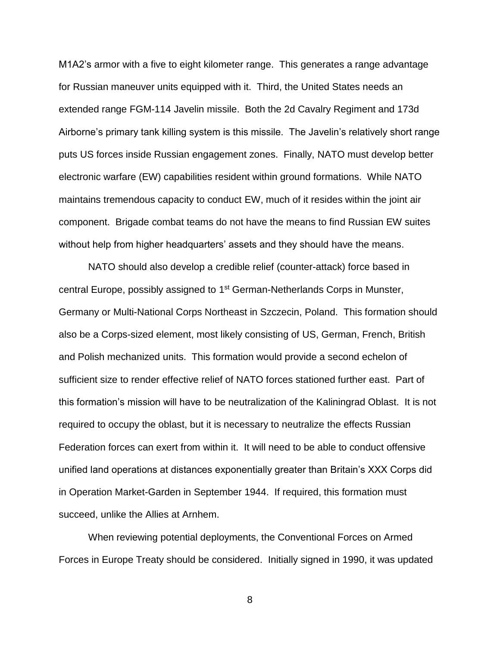M1A2's armor with a five to eight kilometer range. This generates a range advantage for Russian maneuver units equipped with it. Third, the United States needs an extended range FGM-114 Javelin missile. Both the 2d Cavalry Regiment and 173d Airborne's primary tank killing system is this missile. The Javelin's relatively short range puts US forces inside Russian engagement zones. Finally, NATO must develop better electronic warfare (EW) capabilities resident within ground formations. While NATO maintains tremendous capacity to conduct EW, much of it resides within the joint air component. Brigade combat teams do not have the means to find Russian EW suites without help from higher headquarters' assets and they should have the means.

NATO should also develop a credible relief (counter-attack) force based in central Europe, possibly assigned to 1<sup>st</sup> German-Netherlands Corps in Munster, Germany or Multi-National Corps Northeast in Szczecin, Poland. This formation should also be a Corps-sized element, most likely consisting of US, German, French, British and Polish mechanized units. This formation would provide a second echelon of sufficient size to render effective relief of NATO forces stationed further east. Part of this formation's mission will have to be neutralization of the Kaliningrad Oblast. It is not required to occupy the oblast, but it is necessary to neutralize the effects Russian Federation forces can exert from within it. It will need to be able to conduct offensive unified land operations at distances exponentially greater than Britain's XXX Corps did in Operation Market-Garden in September 1944. If required, this formation must succeed, unlike the Allies at Arnhem.

When reviewing potential deployments, the Conventional Forces on Armed Forces in Europe Treaty should be considered. Initially signed in 1990, it was updated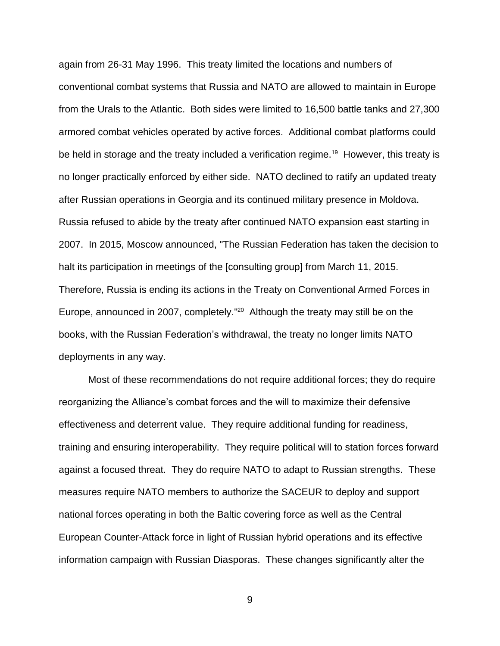again from 26-31 May 1996. This treaty limited the locations and numbers of conventional combat systems that Russia and NATO are allowed to maintain in Europe from the Urals to the Atlantic. Both sides were limited to 16,500 battle tanks and 27,300 armored combat vehicles operated by active forces. Additional combat platforms could be held in storage and the treaty included a verification regime.<sup>19</sup> However, this treaty is no longer practically enforced by either side. NATO declined to ratify an updated treaty after Russian operations in Georgia and its continued military presence in Moldova. Russia refused to abide by the treaty after continued NATO expansion east starting in 2007. In 2015, Moscow announced, "The Russian Federation has taken the decision to halt its participation in meetings of the [consulting group] from March 11, 2015. Therefore, Russia is ending its actions in the Treaty on Conventional Armed Forces in Europe, announced in 2007, completely." <sup>20</sup> Although the treaty may still be on the books, with the Russian Federation's withdrawal, the treaty no longer limits NATO deployments in any way.

Most of these recommendations do not require additional forces; they do require reorganizing the Alliance's combat forces and the will to maximize their defensive effectiveness and deterrent value. They require additional funding for readiness, training and ensuring interoperability. They require political will to station forces forward against a focused threat. They do require NATO to adapt to Russian strengths. These measures require NATO members to authorize the SACEUR to deploy and support national forces operating in both the Baltic covering force as well as the Central European Counter-Attack force in light of Russian hybrid operations and its effective information campaign with Russian Diasporas. These changes significantly alter the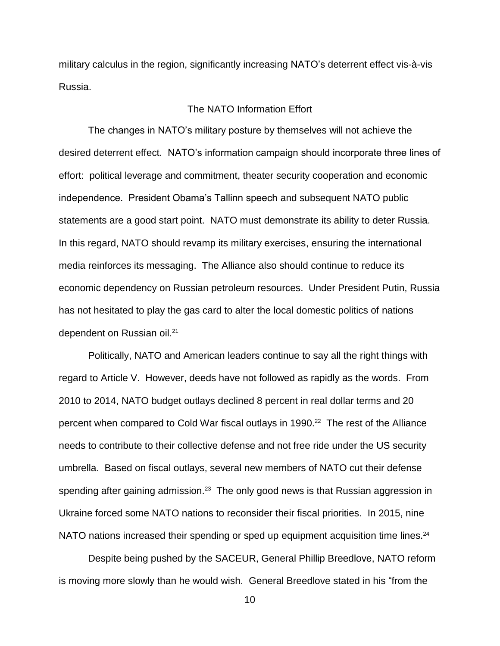military calculus in the region, significantly increasing NATO's deterrent effect vis-à-vis Russia.

### The NATO Information Effort

The changes in NATO's military posture by themselves will not achieve the desired deterrent effect. NATO's information campaign should incorporate three lines of effort: political leverage and commitment, theater security cooperation and economic independence. President Obama's Tallinn speech and subsequent NATO public statements are a good start point. NATO must demonstrate its ability to deter Russia. In this regard, NATO should revamp its military exercises, ensuring the international media reinforces its messaging. The Alliance also should continue to reduce its economic dependency on Russian petroleum resources. Under President Putin, Russia has not hesitated to play the gas card to alter the local domestic politics of nations dependent on Russian oil.<sup>21</sup>

Politically, NATO and American leaders continue to say all the right things with regard to Article V. However, deeds have not followed as rapidly as the words. From 2010 to 2014, NATO budget outlays declined 8 percent in real dollar terms and 20 percent when compared to Cold War fiscal outlays in 1990.<sup>22</sup> The rest of the Alliance needs to contribute to their collective defense and not free ride under the US security umbrella. Based on fiscal outlays, several new members of NATO cut their defense spending after gaining admission.<sup>23</sup> The only good news is that Russian aggression in Ukraine forced some NATO nations to reconsider their fiscal priorities. In 2015, nine NATO nations increased their spending or sped up equipment acquisition time lines. $^{24}$ 

Despite being pushed by the SACEUR, General Phillip Breedlove, NATO reform is moving more slowly than he would wish. General Breedlove stated in his "from the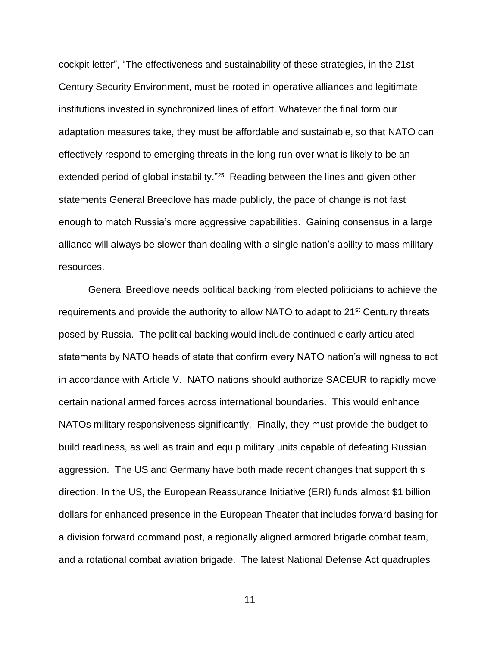cockpit letter", "The effectiveness and sustainability of these strategies, in the 21st Century Security Environment, must be rooted in operative alliances and legitimate institutions invested in synchronized lines of effort. Whatever the final form our adaptation measures take, they must be affordable and sustainable, so that NATO can effectively respond to emerging threats in the long run over what is likely to be an extended period of global instability."<sup>25</sup> Reading between the lines and given other statements General Breedlove has made publicly, the pace of change is not fast enough to match Russia's more aggressive capabilities. Gaining consensus in a large alliance will always be slower than dealing with a single nation's ability to mass military resources.

General Breedlove needs political backing from elected politicians to achieve the requirements and provide the authority to allow NATO to adapt to 21<sup>st</sup> Century threats posed by Russia. The political backing would include continued clearly articulated statements by NATO heads of state that confirm every NATO nation's willingness to act in accordance with Article V. NATO nations should authorize SACEUR to rapidly move certain national armed forces across international boundaries. This would enhance NATOs military responsiveness significantly. Finally, they must provide the budget to build readiness, as well as train and equip military units capable of defeating Russian aggression. The US and Germany have both made recent changes that support this direction. In the US, the European Reassurance Initiative (ERI) funds almost \$1 billion dollars for enhanced presence in the European Theater that includes forward basing for a division forward command post, a regionally aligned armored brigade combat team, and a rotational combat aviation brigade. The latest National Defense Act quadruples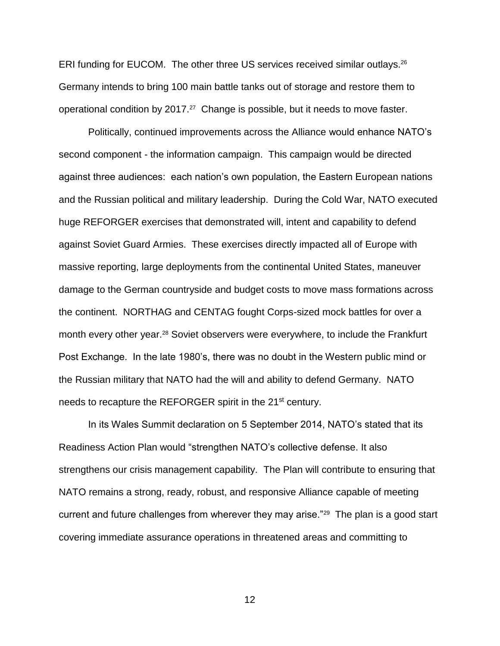ERI funding for EUCOM. The other three US services received similar outlays.<sup>26</sup> Germany intends to bring 100 main battle tanks out of storage and restore them to operational condition by 2017. $27$  Change is possible, but it needs to move faster.

Politically, continued improvements across the Alliance would enhance NATO's second component - the information campaign. This campaign would be directed against three audiences: each nation's own population, the Eastern European nations and the Russian political and military leadership. During the Cold War, NATO executed huge REFORGER exercises that demonstrated will, intent and capability to defend against Soviet Guard Armies. These exercises directly impacted all of Europe with massive reporting, large deployments from the continental United States, maneuver damage to the German countryside and budget costs to move mass formations across the continent. NORTHAG and CENTAG fought Corps-sized mock battles for over a month every other year.<sup>28</sup> Soviet observers were everywhere, to include the Frankfurt Post Exchange. In the late 1980's, there was no doubt in the Western public mind or the Russian military that NATO had the will and ability to defend Germany. NATO needs to recapture the REFORGER spirit in the 21<sup>st</sup> century.

In its Wales Summit declaration on 5 September 2014, NATO's stated that its Readiness Action Plan would "strengthen NATO's collective defense. It also strengthens our crisis management capability. The Plan will contribute to ensuring that NATO remains a strong, ready, robust, and responsive Alliance capable of meeting current and future challenges from wherever they may arise."<sup>29</sup> The plan is a good start covering immediate assurance operations in threatened areas and committing to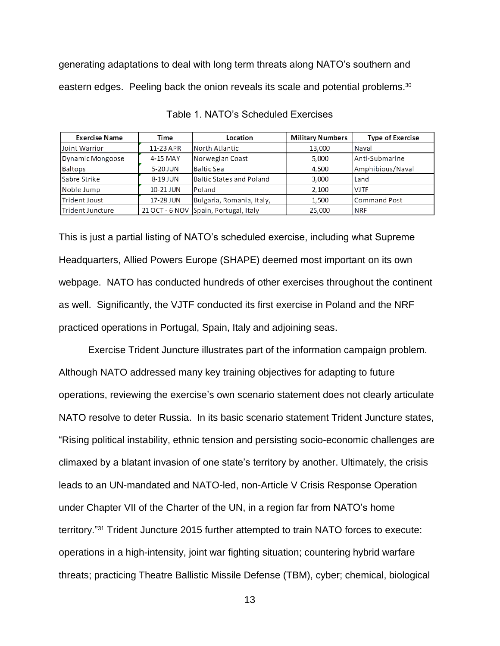generating adaptations to deal with long term threats along NATO's southern and eastern edges. Peeling back the onion reveals its scale and potential problems.<sup>30</sup>

| <b>Exercise Name</b>    | Time      | Location                              | <b>Military Numbers</b> | <b>Type of Exercise</b> |
|-------------------------|-----------|---------------------------------------|-------------------------|-------------------------|
| Joint Warrior           | 11-23 APR | North Atlantic                        | 13,000                  | Naval                   |
| Dynamic Mongoose        | 4-15 MAY  | Norwegian Coast                       | 5,000                   | Anti-Submarine          |
| <b>Baltops</b>          | 5-20 JUN  | <b>Baltic Sea</b>                     | 4,500                   | Amphibious/Naval        |
| Sabre Strike            | 8-19 JUN  | Baltic States and Poland              | 3,000                   | Land                    |
| Noble Jump              | 10-21 JUN | <b>IPoland</b>                        | 2,100                   | <b>VJTF</b>             |
| Trident Joust           | 17-28 JUN | Bulgaria, Romania, Italy,             | 1,500                   | <b>Command Post</b>     |
| <b>Trident Juncture</b> |           | 21 OCT - 6 NOV Spain, Portugal, Italy | 25,000                  | <b>NRF</b>              |

Table 1. NATO's Scheduled Exercises

This is just a partial listing of NATO's scheduled exercise, including what Supreme Headquarters, Allied Powers Europe (SHAPE) deemed most important on its own webpage. NATO has conducted hundreds of other exercises throughout the continent as well. Significantly, the VJTF conducted its first exercise in Poland and the NRF practiced operations in Portugal, Spain, Italy and adjoining seas.

Exercise Trident Juncture illustrates part of the information campaign problem. Although NATO addressed many key training objectives for adapting to future operations, reviewing the exercise's own scenario statement does not clearly articulate NATO resolve to deter Russia. In its basic scenario statement Trident Juncture states, "Rising political instability, ethnic tension and persisting socio-economic challenges are climaxed by a blatant invasion of one state's territory by another. Ultimately, the crisis leads to an UN-mandated and NATO-led, non-Article V Crisis Response Operation under Chapter VII of the Charter of the UN, in a region far from NATO's home territory." <sup>31</sup> Trident Juncture 2015 further attempted to train NATO forces to execute: operations in a high-intensity, joint war fighting situation; countering hybrid warfare threats; practicing Theatre Ballistic Missile Defense (TBM), cyber; chemical, biological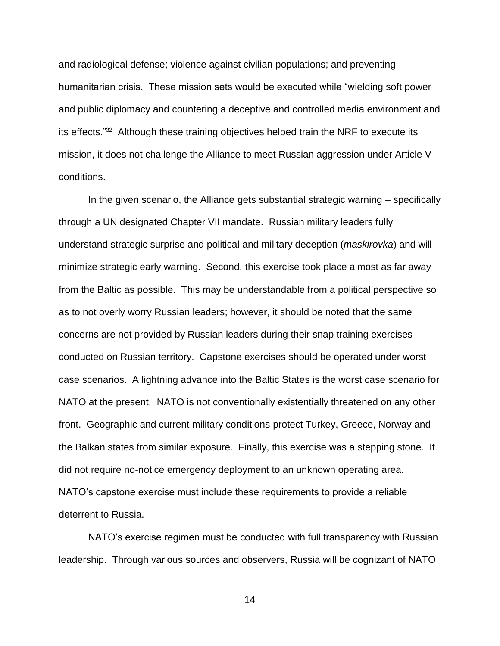and radiological defense; violence against civilian populations; and preventing humanitarian crisis. These mission sets would be executed while "wielding soft power and public diplomacy and countering a deceptive and controlled media environment and its effects."<sup>32</sup> Although these training objectives helped train the NRF to execute its mission, it does not challenge the Alliance to meet Russian aggression under Article V conditions.

In the given scenario, the Alliance gets substantial strategic warning – specifically through a UN designated Chapter VII mandate. Russian military leaders fully understand strategic surprise and political and military deception (*maskirovka*) and will minimize strategic early warning. Second, this exercise took place almost as far away from the Baltic as possible. This may be understandable from a political perspective so as to not overly worry Russian leaders; however, it should be noted that the same concerns are not provided by Russian leaders during their snap training exercises conducted on Russian territory. Capstone exercises should be operated under worst case scenarios. A lightning advance into the Baltic States is the worst case scenario for NATO at the present. NATO is not conventionally existentially threatened on any other front. Geographic and current military conditions protect Turkey, Greece, Norway and the Balkan states from similar exposure. Finally, this exercise was a stepping stone. It did not require no-notice emergency deployment to an unknown operating area. NATO's capstone exercise must include these requirements to provide a reliable deterrent to Russia.

NATO's exercise regimen must be conducted with full transparency with Russian leadership. Through various sources and observers, Russia will be cognizant of NATO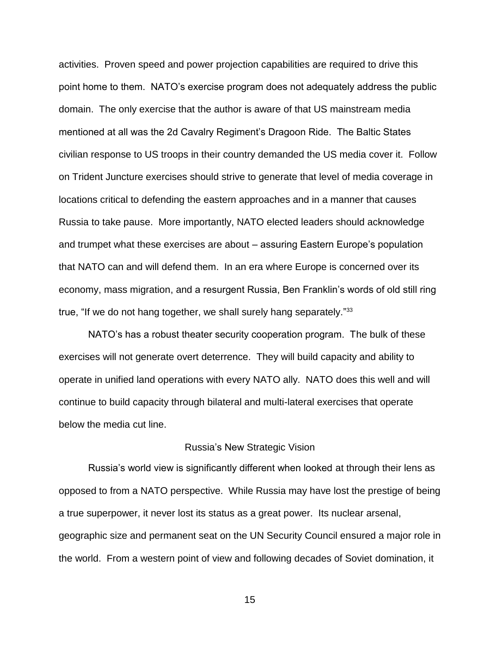activities. Proven speed and power projection capabilities are required to drive this point home to them. NATO's exercise program does not adequately address the public domain. The only exercise that the author is aware of that US mainstream media mentioned at all was the 2d Cavalry Regiment's Dragoon Ride. The Baltic States civilian response to US troops in their country demanded the US media cover it. Follow on Trident Juncture exercises should strive to generate that level of media coverage in locations critical to defending the eastern approaches and in a manner that causes Russia to take pause. More importantly, NATO elected leaders should acknowledge and trumpet what these exercises are about – assuring Eastern Europe's population that NATO can and will defend them. In an era where Europe is concerned over its economy, mass migration, and a resurgent Russia, Ben Franklin's words of old still ring true, "If we do not hang together, we shall surely hang separately."<sup>33</sup>

NATO's has a robust theater security cooperation program. The bulk of these exercises will not generate overt deterrence. They will build capacity and ability to operate in unified land operations with every NATO ally. NATO does this well and will continue to build capacity through bilateral and multi-lateral exercises that operate below the media cut line.

### Russia's New Strategic Vision

Russia's world view is significantly different when looked at through their lens as opposed to from a NATO perspective. While Russia may have lost the prestige of being a true superpower, it never lost its status as a great power. Its nuclear arsenal, geographic size and permanent seat on the UN Security Council ensured a major role in the world. From a western point of view and following decades of Soviet domination, it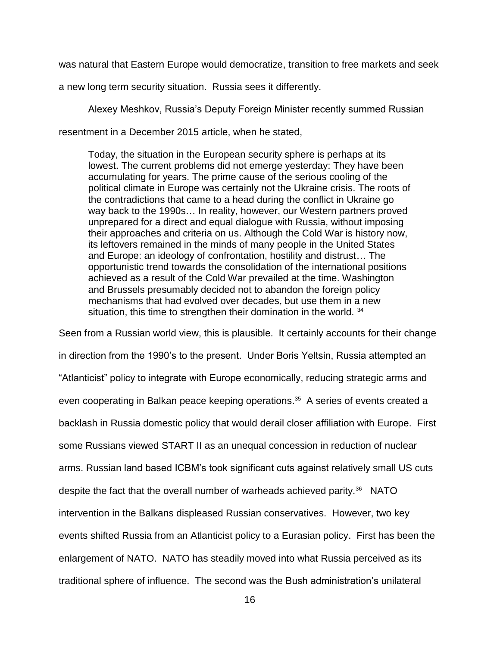was natural that Eastern Europe would democratize, transition to free markets and seek

a new long term security situation. Russia sees it differently.

Alexey Meshkov, Russia's Deputy Foreign Minister recently summed Russian

resentment in a December 2015 article, when he stated,

Today, the situation in the European security sphere is perhaps at its lowest. The current problems did not emerge yesterday: They have been accumulating for years. The prime cause of the serious cooling of the political climate in Europe was certainly not the Ukraine crisis. The roots of the contradictions that came to a head during the conflict in Ukraine go way back to the 1990s… In reality, however, our Western partners proved unprepared for a direct and equal dialogue with Russia, without imposing their approaches and criteria on us. Although the Cold War is history now, its leftovers remained in the minds of many people in the United States and Europe: an ideology of confrontation, hostility and distrust… The opportunistic trend towards the consolidation of the international positions achieved as a result of the Cold War prevailed at the time. Washington and Brussels presumably decided not to abandon the foreign policy mechanisms that had evolved over decades, but use them in a new situation, this time to strengthen their domination in the world. 34

Seen from a Russian world view, this is plausible. It certainly accounts for their change in direction from the 1990's to the present. Under Boris Yeltsin, Russia attempted an "Atlanticist" policy to integrate with Europe economically, reducing strategic arms and even cooperating in Balkan peace keeping operations. 35 A series of events created a backlash in Russia domestic policy that would derail closer affiliation with Europe. First some Russians viewed START II as an unequal concession in reduction of nuclear arms. Russian land based ICBM's took significant cuts against relatively small US cuts despite the fact that the overall number of warheads achieved parity.<sup>36</sup> NATO intervention in the Balkans displeased Russian conservatives. However, two key events shifted Russia from an Atlanticist policy to a Eurasian policy. First has been the enlargement of NATO. NATO has steadily moved into what Russia perceived as its traditional sphere of influence. The second was the Bush administration's unilateral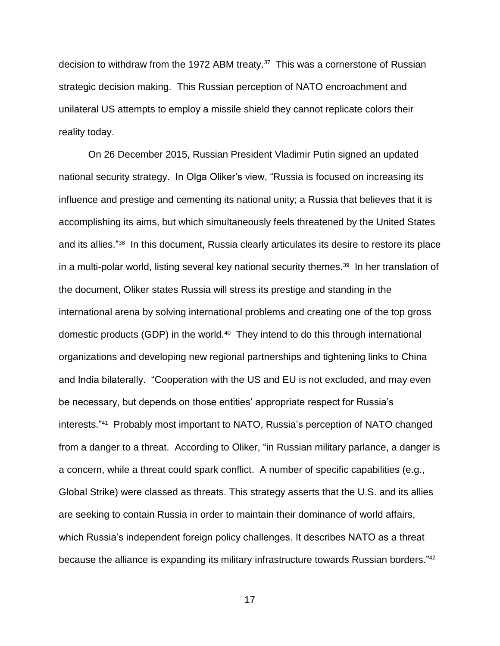decision to withdraw from the 1972 ABM treaty.<sup>37</sup> This was a cornerstone of Russian strategic decision making. This Russian perception of NATO encroachment and unilateral US attempts to employ a missile shield they cannot replicate colors their reality today.

On 26 December 2015, Russian President Vladimir Putin signed an updated national security strategy. In Olga Oliker's view, "Russia is focused on increasing its influence and prestige and cementing its national unity; a Russia that believes that it is accomplishing its aims, but which simultaneously feels threatened by the United States and its allies." <sup>38</sup> In this document, Russia clearly articulates its desire to restore its place in a multi-polar world, listing several key national security themes.<sup>39</sup> In her translation of the document, Oliker states Russia will stress its prestige and standing in the international arena by solving international problems and creating one of the top gross domestic products (GDP) in the world.<sup>40</sup> They intend to do this through international organizations and developing new regional partnerships and tightening links to China and India bilaterally. "Cooperation with the US and EU is not excluded, and may even be necessary, but depends on those entities' appropriate respect for Russia's interests." 41 Probably most important to NATO, Russia's perception of NATO changed from a danger to a threat. According to Oliker, "in Russian military parlance, a danger is a concern, while a threat could spark conflict. A number of specific capabilities (e.g., Global Strike) were classed as threats. This strategy asserts that the U.S. and its allies are seeking to contain Russia in order to maintain their dominance of world affairs, which Russia's independent foreign policy challenges. It describes NATO as a threat because the alliance is expanding its military infrastructure towards Russian borders."<sup>42</sup>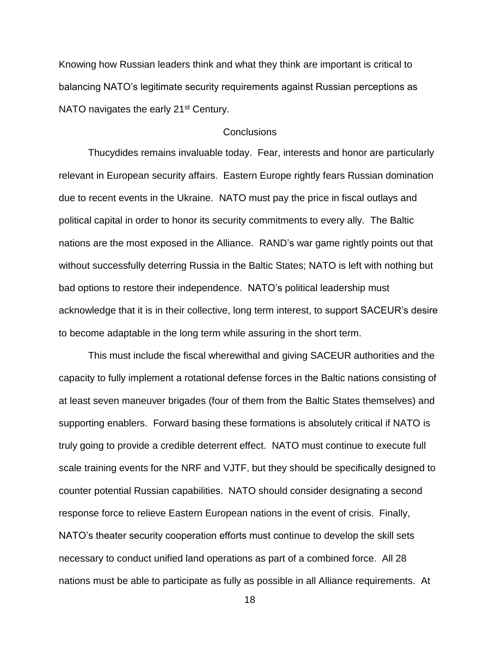Knowing how Russian leaders think and what they think are important is critical to balancing NATO's legitimate security requirements against Russian perceptions as NATO navigates the early 21<sup>st</sup> Century.

### Conclusions

Thucydides remains invaluable today. Fear, interests and honor are particularly relevant in European security affairs. Eastern Europe rightly fears Russian domination due to recent events in the Ukraine. NATO must pay the price in fiscal outlays and political capital in order to honor its security commitments to every ally. The Baltic nations are the most exposed in the Alliance. RAND's war game rightly points out that without successfully deterring Russia in the Baltic States; NATO is left with nothing but bad options to restore their independence. NATO's political leadership must acknowledge that it is in their collective, long term interest, to support SACEUR's desire to become adaptable in the long term while assuring in the short term.

This must include the fiscal wherewithal and giving SACEUR authorities and the capacity to fully implement a rotational defense forces in the Baltic nations consisting of at least seven maneuver brigades (four of them from the Baltic States themselves) and supporting enablers. Forward basing these formations is absolutely critical if NATO is truly going to provide a credible deterrent effect. NATO must continue to execute full scale training events for the NRF and VJTF, but they should be specifically designed to counter potential Russian capabilities. NATO should consider designating a second response force to relieve Eastern European nations in the event of crisis. Finally, NATO's theater security cooperation efforts must continue to develop the skill sets necessary to conduct unified land operations as part of a combined force. All 28 nations must be able to participate as fully as possible in all Alliance requirements. At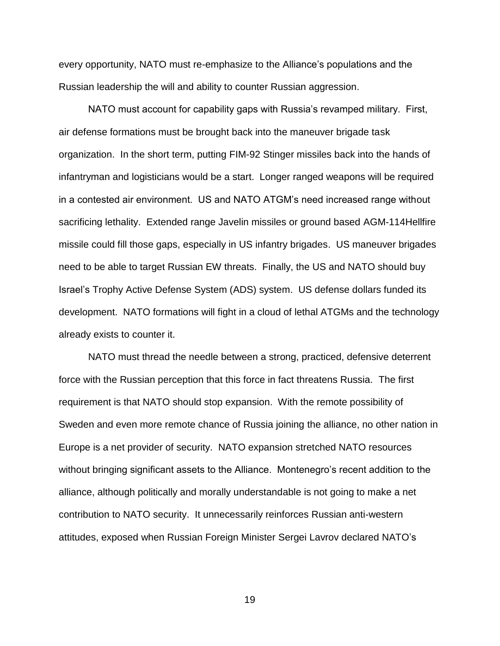every opportunity, NATO must re-emphasize to the Alliance's populations and the Russian leadership the will and ability to counter Russian aggression.

NATO must account for capability gaps with Russia's revamped military. First, air defense formations must be brought back into the maneuver brigade task organization. In the short term, putting FIM-92 Stinger missiles back into the hands of infantryman and logisticians would be a start. Longer ranged weapons will be required in a contested air environment. US and NATO ATGM's need increased range without sacrificing lethality. Extended range Javelin missiles or ground based AGM-114Hellfire missile could fill those gaps, especially in US infantry brigades. US maneuver brigades need to be able to target Russian EW threats. Finally, the US and NATO should buy Israel's Trophy Active Defense System (ADS) system. US defense dollars funded its development. NATO formations will fight in a cloud of lethal ATGMs and the technology already exists to counter it.

NATO must thread the needle between a strong, practiced, defensive deterrent force with the Russian perception that this force in fact threatens Russia. The first requirement is that NATO should stop expansion. With the remote possibility of Sweden and even more remote chance of Russia joining the alliance, no other nation in Europe is a net provider of security. NATO expansion stretched NATO resources without bringing significant assets to the Alliance. Montenegro's recent addition to the alliance, although politically and morally understandable is not going to make a net contribution to NATO security. It unnecessarily reinforces Russian anti-western attitudes, exposed when Russian Foreign Minister Sergei Lavrov declared NATO's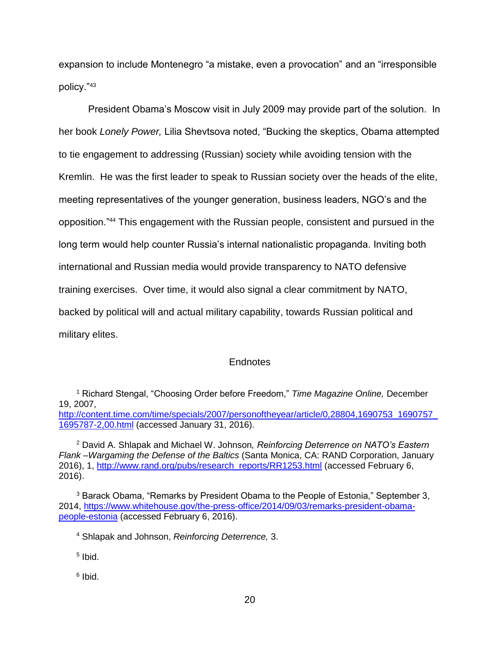expansion to include Montenegro "a mistake, even a provocation" and an "irresponsible policy."<sup>43</sup>

President Obama's Moscow visit in July 2009 may provide part of the solution. In her book *Lonely Power,* Lilia Shevtsova noted, "Bucking the skeptics, Obama attempted to tie engagement to addressing (Russian) society while avoiding tension with the Kremlin. He was the first leader to speak to Russian society over the heads of the elite, meeting representatives of the younger generation, business leaders, NGO's and the opposition."<sup>44</sup> This engagement with the Russian people, consistent and pursued in the long term would help counter Russia's internal nationalistic propaganda. Inviting both international and Russian media would provide transparency to NATO defensive training exercises. Over time, it would also signal a clear commitment by NATO, backed by political will and actual military capability, towards Russian political and military elites.

### Endnotes

<sup>2</sup> David A. Shlapak and Michael W. Johnson*, Reinforcing Deterrence on NATO's Eastern Flank –Wargaming the Defense of the Baltics* (Santa Monica, CA: RAND Corporation, January 2016), 1, [http://www.rand.org/pubs/research\\_reports/RR1253.html](http://www.rand.org/pubs/research_reports/RR1253.html) (accessed February 6, 2016).

<sup>3</sup> Barack Obama, "Remarks by President Obama to the People of Estonia," September 3, 2014, [https://www.whitehouse.gov/the-press-office/2014/09/03/remarks-president-obama](https://www.whitehouse.gov/the-press-office/2014/09/03/remarks-president-obama-people-estonia)[people-estonia](https://www.whitehouse.gov/the-press-office/2014/09/03/remarks-president-obama-people-estonia) (accessed February 6, 2016).

<sup>4</sup> Shlapak and Johnson, *Reinforcing Deterrence,* 3.

5 Ibid.

<sup>6</sup> Ibid.

<sup>1</sup> Richard Stengal, "Choosing Order before Freedom," *Time Magazine Online,* December 19, 2007,

[http://content.time.com/time/specials/2007/personoftheyear/article/0,28804,1690753\\_1690757\\_](http://content.time.com/time/specials/2007/personoftheyear/article/0,28804,1690753_1690757_1695787-2,00.html) [1695787-2,00.html](http://content.time.com/time/specials/2007/personoftheyear/article/0,28804,1690753_1690757_1695787-2,00.html) (accessed January 31, 2016).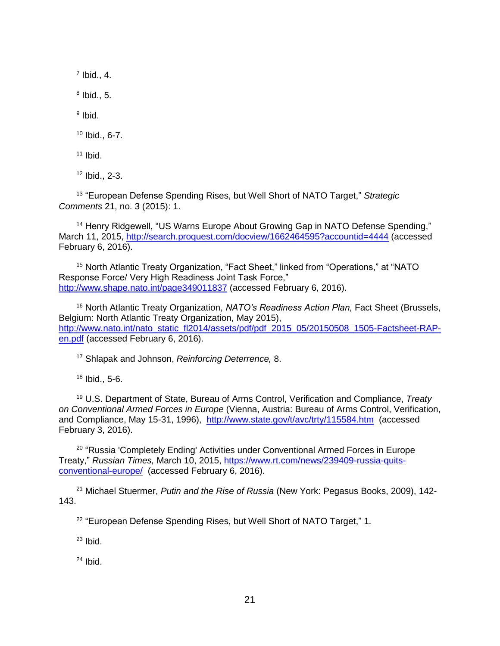$<sup>7</sup>$  Ibid., 4.</sup>

 $8$  Ibid., 5.

<sup>9</sup> Ibid.

<sup>10</sup> Ibid., 6-7.

 $11$  Ibid.

<sup>12</sup> Ibid., 2-3.

<sup>13</sup> "European Defense Spending Rises, but Well Short of NATO Target," *Strategic Comments* 21, no. 3 (2015): 1.

<sup>14</sup> Henry Ridgewell, "US Warns Europe About Growing Gap in NATO Defense Spending," March 11, 2015,<http://search.proquest.com/docview/1662464595?accountid=4444> (accessed February 6, 2016).

<sup>15</sup> North Atlantic Treaty Organization, "Fact Sheet," linked from "Operations," at "NATO Response Force/ Very High Readiness Joint Task Force," <http://www.shape.nato.int/page349011837> (accessed February 6, 2016).

<sup>16</sup> North Atlantic Treaty Organization, *NATO's Readiness Action Plan,* Fact Sheet (Brussels, Belgium: North Atlantic Treaty Organization, May 2015), [http://www.nato.int/nato\\_static\\_fl2014/assets/pdf/pdf\\_2015\\_05/20150508\\_1505-Factsheet-RAP](http://www.nato.int/nato_static_fl2014/assets/pdf/pdf_2015_05/20150508_1505-Factsheet-RAP-en.pdf)[en.pdf](http://www.nato.int/nato_static_fl2014/assets/pdf/pdf_2015_05/20150508_1505-Factsheet-RAP-en.pdf) (accessed February 6, 2016).

<sup>17</sup> Shlapak and Johnson, *Reinforcing Deterrence,* 8.

<sup>18</sup> Ibid., 5-6.

<sup>19</sup> U.S. Department of State, Bureau of Arms Control, Verification and Compliance, *Treaty on Conventional Armed Forces in Europe* (Vienna, Austria: Bureau of Arms Control, Verification, and Compliance, May 15-31, 1996), <http://www.state.gov/t/avc/trty/115584.htm>(accessed February 3, 2016).

<sup>20</sup> "Russia 'Completely Ending' Activities under Conventional Armed Forces in Europe Treaty," *Russian Times,* March 10, 2015, [https://www.rt.com/news/239409-russia-quits](https://www.rt.com/news/239409-russia-quits-conventional-europe/)[conventional-europe/](https://www.rt.com/news/239409-russia-quits-conventional-europe/) (accessed February 6, 2016).

<sup>21</sup> Michael Stuermer, *Putin and the Rise of Russia* (New York: Pegasus Books, 2009), 142- 143.

<sup>22</sup> "European Defense Spending Rises, but Well Short of NATO Target," 1.

 $23$  Ibid.

 $24$  Ibid.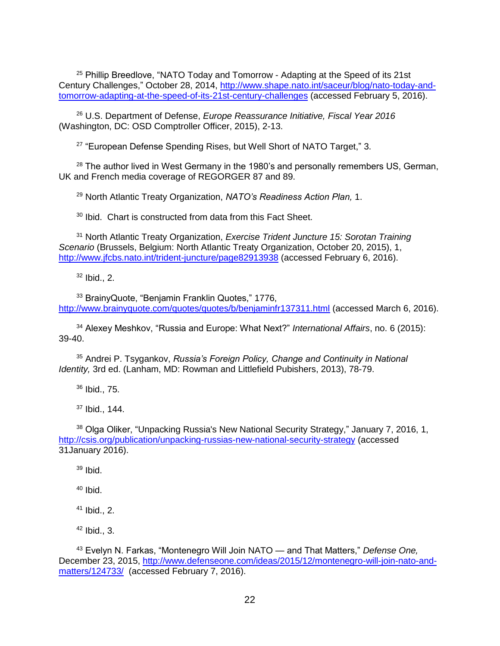<sup>25</sup> Phillip Breedlove, "NATO Today and Tomorrow - Adapting at the Speed of its 21st Century Challenges," October 28, 2014, [http://www.shape.nato.int/saceur/blog/nato-today-and](http://www.shape.nato.int/saceur/blog/nato-today-and-tomorrow-adapting-at-the-speed-of-its-21st-century-challenges)[tomorrow-adapting-at-the-speed-of-its-21st-century-challenges](http://www.shape.nato.int/saceur/blog/nato-today-and-tomorrow-adapting-at-the-speed-of-its-21st-century-challenges) (accessed February 5, 2016).

<sup>26</sup> U.S. Department of Defense, *Europe Reassurance Initiative, Fiscal Year 2016* (Washington, DC: OSD Comptroller Officer, 2015), 2-13.

<sup>27</sup> "European Defense Spending Rises, but Well Short of NATO Target," 3.

 $28$  The author lived in West Germany in the 1980's and personally remembers US, German, UK and French media coverage of REGORGER 87 and 89.

<sup>29</sup> North Atlantic Treaty Organization, *NATO's Readiness Action Plan,* 1.

 $30$  Ibid. Chart is constructed from data from this Fact Sheet.

<sup>31</sup> North Atlantic Treaty Organization, *Exercise Trident Juncture 15: Sorotan Training Scenario* (Brussels, Belgium: North Atlantic Treaty Organization, October 20, 2015), 1, <http://www.jfcbs.nato.int/trident-juncture/page82913938> (accessed February 6, 2016).

 $32$  Ibid., 2.

<sup>33</sup> BrainyQuote, "Benjamin Franklin Quotes," 1776, <http://www.brainyquote.com/quotes/quotes/b/benjaminfr137311.html> (accessed March 6, 2016).

<sup>34</sup> Alexey Meshkov, "Russia and Europe: What Next?" *International Affairs*, no. 6 (2015): 39-40.

<sup>35</sup> Andrei P. Tsygankov, *Russia's Foreign Policy, Change and Continuity in National Identity,* 3rd ed. (Lanham, MD: Rowman and Littlefield Pubishers, 2013), 78-79.

<sup>36</sup> Ibid., 75.

<sup>37</sup> Ibid., 144.

<sup>38</sup> Olga Oliker, "Unpacking Russia's New National Security Strategy," January 7, 2016, 1, <http://csis.org/publication/unpacking-russias-new-national-security-strategy> (accessed 31January 2016).

 $39$  Ibid.

<sup>40</sup> Ibid.

<sup>41</sup> Ibid., 2.

 $42$  Ibid., 3.

<sup>43</sup> Evelyn N. Farkas, "Montenegro Will Join NATO — and That Matters," *Defense One,* December 23, 2015, [http://www.defenseone.com/ideas/2015/12/montenegro-will-join-nato-and](http://www.defenseone.com/ideas/2015/12/montenegro-will-join-nato-and-matters/124733/)[matters/124733/](http://www.defenseone.com/ideas/2015/12/montenegro-will-join-nato-and-matters/124733/) (accessed February 7, 2016).